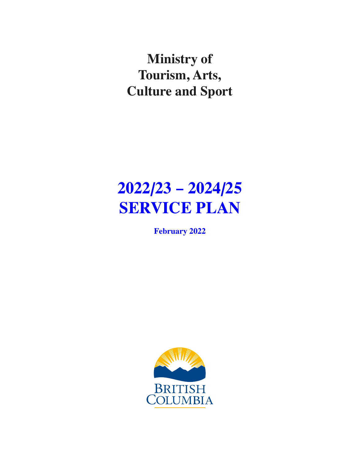**Ministry of Tourism, Arts, Culture and Sport**

# **2022/23 – 2024/25 SERVICE PLAN**

**February 2022**

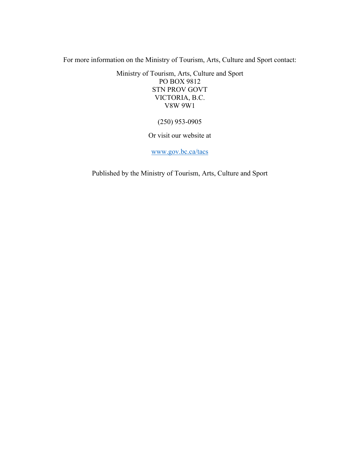For more information on the Ministry of Tourism, Arts, Culture and Sport contact:

Ministry of Tourism, Arts, Culture and Sport PO BOX 9812 STN PROV GOVT VICTORIA, B.C. V8W 9W1

(250) 953-0905

Or visit our website at

[www.gov.bc.ca/tacs](http://www.gov.bc.ca/tacs)

Published by the Ministry of Tourism, Arts, Culture and Sport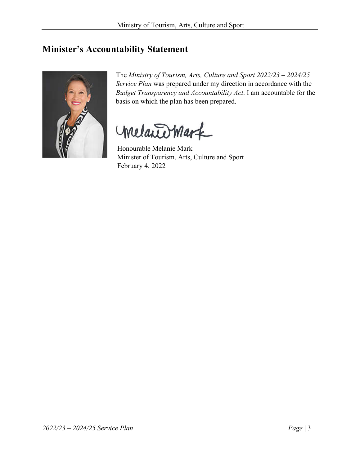### <span id="page-2-0"></span>**Minister's Accountability Statement**



The *Ministry of Tourism, Arts, Culture and Sport 2022/23 – 2024/25 Service Plan* was prepared under my direction in accordance with the *Budget Transparency and Accountability Act*. I am accountable for the basis on which the plan has been prepared.

melantomark

Honourable Melanie Mark Minister of Tourism, Arts, Culture and Sport February 4, 2022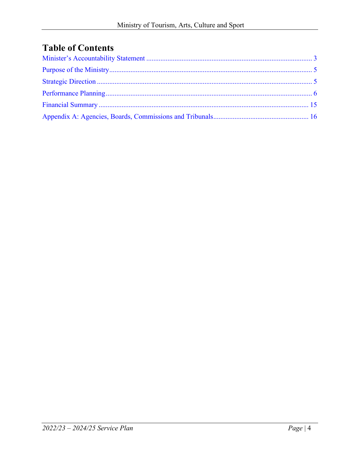## **Table of Contents**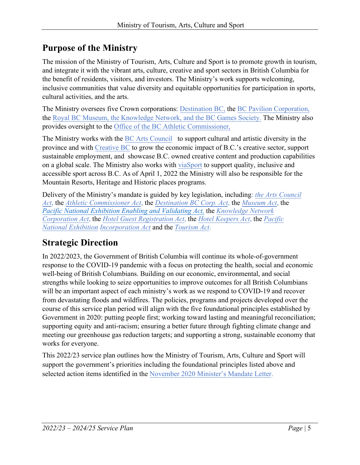## <span id="page-4-0"></span>**Purpose of the Ministry**

The mission of the [Ministry of Tourism, Arts, Culture and Sport is](http://www2.gov.bc.ca/gov/content/governments/organizational-structure/ministries-organizations/ministries/tourism-arts-culture) to promote growth in tourism, and integrate it with the vibrant arts, culture, creative and sport sectors in British Columbia for the benefit of residents, visitors, and investors. The Ministry's work supports welcoming, inclusive communities that value diversity and equitable opportunities for participation in sports, cultural activities, and the arts.

The Ministry oversees five Crown corporations: [Destination BC,](http://www.destinationbc.ca/) the [BC Pavilion](http://www.bcpavco.com/) [Corporation,](http://www.bcpavco.com/) the [Royal BC Museum,](http://royalbcmuseum.bc.ca/) the [Knowledge Network, an](https://www.knowledge.ca/)d the [BC Games Society.](https://www.bcgames.org/) The Ministry also provides oversight to the [Office of the BC Athletic Commissioner.](http://www.bcathleticcommission.ca/Default_Home.aspx)

The Ministry works with the [BC Arts Council](https://www.bcartscouncil.ca/) to support cultural and artistic diversity in the province and with [Creative BC](https://www.creativebc.com/) to grow the economic impact of B.C.'s creative sector, support sustainable employment, and showcase B.C. owned creative content and production capabilities on a global scale. The Ministry also works with [viaSport](http://www.viasport.ca/) to support quality, inclusive and accessible sport across B.C. As of April 1, 2022 the Ministry will also be responsible for the Mountain Resorts, Heritage and Historic places programs.

Delivery of the Ministry's mandate is guided by key legislation, including: *[the Arts Council](https://www.bclaws.gov.bc.ca/civix/document/id/complete/statreg/96019_01) [Act](https://www.bclaws.gov.bc.ca/civix/document/id/complete/statreg/96019_01)*, the *[Athletic Commissioner Act](http://www.bclaws.ca/civix/document/id/complete/statreg/12029_01)*, the *[Destination BC Corp. Act](http://www.bclaws.ca/civix/document/id/complete/statreg/13006_01)*, the *[Museum Act](http://www.bclaws.ca/civix/document/id/complete/statreg/03012_01)*, the *[Pacific National Exhibition Enabling and Validating Act,](https://www.bclaws.gov.bc.ca/civix/document/id/consol16/consol16/00_03076_01)* the *[Knowledge Network](http://www.bclaws.ca/civix/document/id/complete/statreg/07022_01) [Corporation Act](http://www.bclaws.ca/civix/document/id/complete/statreg/07022_01)*, the *[Hotel Guest Registration Act](http://www.bclaws.ca/civix/document/id/complete/statreg/96205_01)*, the *[Hotel Keepers Act](http://www.bclaws.ca/civix/document/id/complete/statreg/96206_01)*, the *[Pacific](http://www.bclaws.ca/civix/document/id/lc/psl/73066_01) [National Exhibition Incorporation Act](http://www.bclaws.ca/civix/document/id/lc/psl/73066_01)* and the *[Tourism Act](http://www.bclaws.ca/Recon/document/ID/freeside/00_96453_01)*.

## <span id="page-4-1"></span>**Strategic Direction**

In 2022/2023, the Government of British Columbia will continue its whole-of-government response to the COVID-19 pandemic with a focus on protecting the health, social and economic well-being of British Columbians. Building on our economic, environmental, and social strengths while looking to seize opportunities to improve outcomes for all British Columbians will be an important aspect of each ministry's work as we respond to COVID-19 and recover from devastating floods and wildfires. The policies, programs and projects developed over the course of this service plan period will align with the five foundational principles established by Government in 2020: putting people first; working toward lasting and meaningful reconciliation; supporting equity and anti-racism; ensuring a better future through fighting climate change and meeting our greenhouse gas reduction targets; and supporting a strong, sustainable economy that works for everyone.

This 2022/23 service plan outlines how the Ministry of Tourism, Arts, Culture and Sport will support the government's priorities including the foundational principles listed above and selected action items identified in the November 2020 Minister's Mandate Letter.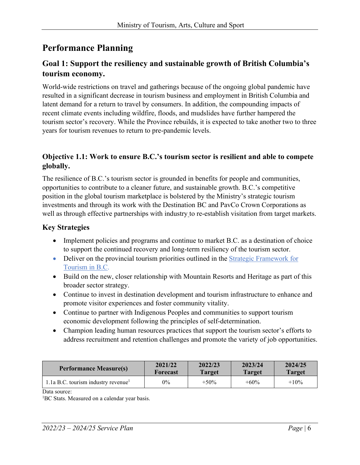## <span id="page-5-0"></span>**Performance Planning**

#### **Goal 1: Support the resiliency and sustainable growth of British Columbia's tourism economy.**

World-wide restrictions on travel and gatherings because of the ongoing global pandemic have resulted in a significant decrease in tourism business and employment in British Columbia and latent demand for a return to travel by consumers. In addition, the compounding impacts of recent climate events including wildfire, floods, and mudslides have further hampered the tourism sector's recovery. While the Province rebuilds, it is expected to take another two to three years for tourism revenues to return to pre-pandemic levels.

#### **Objective 1.1: Work to ensure B.C.'s tourism sector is resilient and able to compete globally.**

The resilience of B.C.'s tourism sector is grounded in benefits for people and communities, opportunities to contribute to a cleaner future, and sustainable growth. B.C.'s competitive position in the global tourism marketplace is bolstered by the Ministry's strategic tourism investments and through its work with the Destination BC and PavCo Crown Corporations as well as through effective partnerships with industry to re-establish visitation from target markets.

#### **Key Strategies**

- Implement policies and programs and continue to market B.C. as a destination of choice to support the continued recovery and long-term resiliency of the tourism sector.
- Deliver on the provincial tourism priorities outlined in the Strategic Framework for [Tourism in B.C.](https://www2.gov.bc.ca/assets/gov/tourism-and-immigration/tourism-industry-resources/our-tourism-strategy/welcoming_visitors_benefiting_locals_working_together_-_final.pdf)
- Build on the new, closer relationship with Mountain Resorts and Heritage as part of this broader sector strategy.
- Continue to invest in destination development and tourism infrastructure to enhance and promote visitor experiences and foster community vitality.
- Continue to partner with Indigenous Peoples and communities to support tourism economic development following the principles of self-determination.
- Champion leading human resources practices that support the tourism sector's efforts to address recruitment and retention challenges and promote the variety of job opportunities.

| <b>Performance Measure(s)</b>      | 2021/22  | 2022/23 | 2023/24       | 2024/25       |
|------------------------------------|----------|---------|---------------|---------------|
|                                    | Forecast | Target  | <b>Target</b> | <b>Target</b> |
| 1.1a B.C. tourism industry revenue | $0\%$    | $+50\%$ | $+60\%$       | $+10\%$       |

Data source:

<sup>1</sup>BC Stats. Measured on a calendar year basis.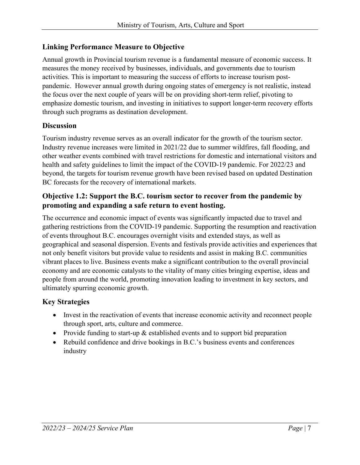#### **Linking Performance Measure to Objective**

Annual growth in Provincial tourism revenue is a fundamental measure of economic success. It measures the money received by businesses, individuals, and governments due to tourism activities. This is important to measuring the success of efforts to increase tourism postpandemic. However annual growth during ongoing states of emergency is not realistic, instead the focus over the next couple of years will be on providing short-term relief, pivoting to emphasize domestic tourism, and investing in initiatives to support longer-term recovery efforts through such programs as destination development.

#### **Discussion**

Tourism industry revenue serves as an overall indicator for the growth of the tourism sector. Industry revenue increases were limited in 2021/22 due to summer wildfires, fall flooding, and other weather events combined with travel restrictions for domestic and international visitors and health and safety guidelines to limit the impact of the COVID-19 pandemic. For 2022/23 and beyond, the targets for tourism revenue growth have been revised based on updated Destination BC forecasts for the recovery of international markets.

#### **Objective 1.2: Support the B.C. tourism sector to recover from the pandemic by promoting and expanding a safe return to event hosting.**

The occurrence and economic impact of events was significantly impacted due to travel and gathering restrictions from the COVID-19 pandemic. Supporting the resumption and reactivation of events throughout B.C. encourages overnight visits and extended stays, as well as geographical and seasonal dispersion. Events and festivals provide activities and experiences that not only benefit visitors but provide value to residents and assist in making B.C. communities vibrant places to live. Business events make a significant contribution to the overall provincial economy and are economic catalysts to the vitality of many cities bringing expertise, ideas and people from around the world, promoting innovation leading to investment in key sectors, and ultimately spurring economic growth.

- Invest in the reactivation of events that increase economic activity and reconnect people through sport, arts, culture and commerce.
- Provide funding to start-up  $\&$  established events and to support bid preparation
- Rebuild confidence and drive bookings in B.C.'s business events and conferences industry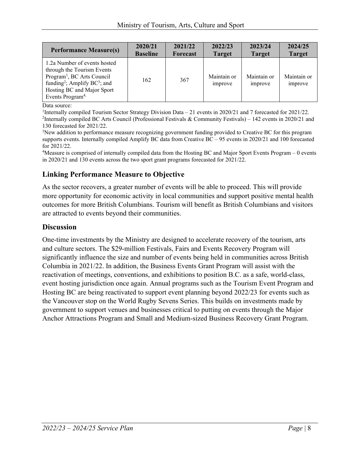| <b>Performance Measure(s)</b>                                                                                                                                                                                              | 2020/21         | 2021/22         | 2022/23                | 2023/24                | 2024/25                |
|----------------------------------------------------------------------------------------------------------------------------------------------------------------------------------------------------------------------------|-----------------|-----------------|------------------------|------------------------|------------------------|
|                                                                                                                                                                                                                            | <b>Baseline</b> | <b>Forecast</b> | <b>Target</b>          | <b>Target</b>          | <b>Target</b>          |
| 1.2a Number of events hosted<br>through the Tourism Events<br>Program <sup>1</sup> , BC Arts Council<br>funding <sup>2</sup> ; Amplify BC <sup>3</sup> ; and<br>Hosting BC and Major Sport<br>Events Program <sup>4,</sup> | 162             | 367             | Maintain or<br>improve | Maintain or<br>improve | Maintain or<br>improve |

Data source:

<sup>1</sup>Internally compiled Tourism Sector Strategy Division Data – 21 events in 2020/21 and 7 forecasted for 2021/22.<br><sup>2</sup>Internally compiled BC Arts Council (Professional Festivals & Community Festivals) – 142 events in 2020/2 <sup>2</sup>Internally compiled BC Arts Council (Professional Festivals & Community Festivals) – 142 events in 2020/21 and 130 forecasted for 2021/22.

<sup>3</sup>New addition to performance measure recognizing government funding provided to Creative BC for this program supports events. Internally compiled Amplify BC data from Creative BC – 95 events in 2020/21 and 100 forecasted for 2021/22.

<sup>4</sup>Measure is comprised of internally compiled data from the Hosting BC and Major Sport Events Program - 0 events in 2020/21 and 130 events across the two sport grant programs forecasted for 2021/22.

#### **Linking Performance Measure to Objective**

As the sector recovers, a greater number of events will be able to proceed. This will provide more opportunity for economic activity in local communities and support positive mental health outcomes for more British Columbians. Tourism will benefit as British Columbians and visitors are attracted to events beyond their communities.

#### **Discussion**

One-time investments by the Ministry are designed to accelerate recovery of the tourism, arts and culture sectors. The \$29-million Festivals, Fairs and Events Recovery Program will significantly influence the size and number of events being held in communities across British Columbia in 2021/22. In addition, the Business Events Grant Program will assist with the reactivation of meetings, conventions, and exhibitions to position B.C. as a safe, world-class, event hosting jurisdiction once again. Annual programs such as the Tourism Event Program and Hosting BC are being reactivated to support event planning beyond 2022/23 for events such as the Vancouver stop on the World Rugby Sevens Series. This builds on investments made by government to support venues and businesses critical to putting on events through the Major Anchor Attractions Program and Small and Medium-sized Business Recovery Grant Program.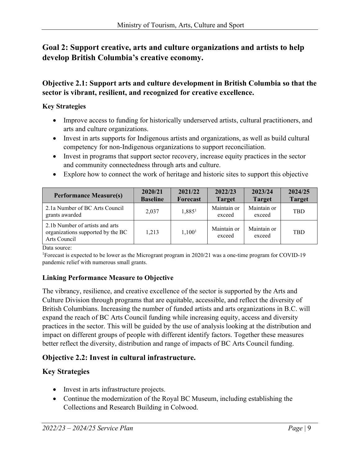#### **Goal 2: Support creative, arts and culture organizations and artists to help develop British Columbia's creative economy.**

#### **Objective 2.1: Support arts and culture development in British Columbia so that the sector is vibrant, resilient, and recognized for creative excellence.**

#### **Key Strategies**

- Improve access to funding for historically underserved artists, cultural practitioners, and arts and culture organizations.
- Invest in arts supports for Indigenous artists and organizations, as well as build cultural competency for non-Indigenous organizations to support reconciliation.
- Invest in programs that support sector recovery, increase equity practices in the sector and community connectedness through arts and culture.
- Explore how to connect the work of heritage and historic sites to support this objective

| <b>Performance Measure(s)</b>                                                        | 2020/21<br><b>Baseline</b> | 2021/22<br><b>Forecast</b> | 2022/23<br><b>Target</b> | 2023/24<br><b>Target</b> | 2024/25<br><b>Target</b> |
|--------------------------------------------------------------------------------------|----------------------------|----------------------------|--------------------------|--------------------------|--------------------------|
| 2.1a Number of BC Arts Council<br>grants awarded                                     | 2,037                      | 1,885 <sup>1</sup>         | Maintain or<br>exceed    | Maintain or<br>exceed    | <b>TBD</b>               |
| 2.1b Number of artists and arts<br>organizations supported by the BC<br>Arts Council | 1,213                      | 1,100 <sup>1</sup>         | Maintain or<br>exceed    | Maintain or<br>exceed    | <b>TBD</b>               |

Data source:

1 Forecast is expected to be lower as the Microgrant program in 2020/21 was a one-time program for COVID-19 pandemic relief with numerous small grants.

#### **Linking Performance Measure to Objective**

The vibrancy, resilience, and creative excellence of the sector is supported by the Arts and Culture Division through programs that are equitable, accessible, and reflect the diversity of British Columbians. Increasing the number of funded artists and arts organizations in B.C. will expand the reach of BC Arts Council funding while increasing equity, access and diversity practices in the sector. This will be guided by the use of analysis looking at the distribution and impact on different groups of people with different identify factors. Together these measures better reflect the diversity, distribution and range of impacts of BC Arts Council funding.

#### **Objective 2.2: Invest in cultural infrastructure.**

- Invest in arts infrastructure projects.
- Continue the modernization of the Royal BC Museum, including establishing the Collections and Research Building in Colwood.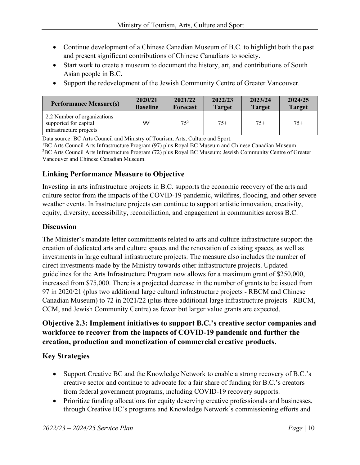- Continue development of a Chinese Canadian Museum of B.C. to highlight both the past and present significant contributions of Chinese Canadians to society.
- Start work to create a museum to document the history, art, and contributions of South Asian people in B.C.
- Support the redevelopment of the Jewish Community Centre of Greater Vancouver.

| <b>Performance Measure(s)</b>                                                   | 2020/21         | 2021/22         | 2022/23       | 2023/24       | 2024/25       |
|---------------------------------------------------------------------------------|-----------------|-----------------|---------------|---------------|---------------|
|                                                                                 | <b>Baseline</b> | <b>Forecast</b> | <b>Target</b> | <b>Target</b> | <b>Target</b> |
| 2.2 Number of organizations<br>supported for capital<br>infrastructure projects | 99 <sup>1</sup> | $75^{2}$        | $75+$         | $75+$         | $75+$         |

Data source: BC Arts Council and Ministry of Tourism, Arts, Culture and Sport.

<sup>1</sup>BC Arts Council Arts Infrastructure Program (97) plus Royal BC Museum and Chinese Canadian Museum<br><sup>2</sup>BC Arts Council Arts Infrastructure Program (72) plus Royal BC Museum: Jewish Community Centre of G <sup>2</sup>BC Arts Council Arts Infrastructure Program (72) plus Royal BC Museum; Jewish Community Centre of Greater Vancouver and Chinese Canadian Museum.

#### **Linking Performance Measure to Objective**

Investing in arts infrastructure projects in B.C. supports the economic recovery of the arts and culture sector from the impacts of the COVID-19 pandemic, wildfires, flooding, and other severe weather events. Infrastructure projects can continue to support artistic innovation, creativity, equity, diversity, accessibility, reconciliation, and engagement in communities across B.C.

#### **Discussion**

The Minister's mandate letter commitments related to arts and culture infrastructure support the creation of dedicated arts and culture spaces and the renovation of existing spaces, as well as investments in large cultural infrastructure projects. The measure also includes the number of direct investments made by the Ministry towards other infrastructure projects. Updated guidelines for the Arts Infrastructure Program now allows for a maximum grant of \$250,000, increased from \$75,000. There is a projected decrease in the number of grants to be issued from 97 in 2020/21 (plus two additional large cultural infrastructure projects - RBCM and Chinese Canadian Museum) to 72 in 2021/22 (plus three additional large infrastructure projects - RBCM, CCM, and Jewish Community Centre) as fewer but larger value grants are expected.

#### **Objective 2.3: Implement initiatives to support B.C.'s creative sector companies and workforce to recover from the impacts of COVID-19 pandemic and further the creation, production and monetization of commercial creative products.**

- Support Creative BC and the Knowledge Network to enable a strong recovery of B.C.'s creative sector and continue to advocate for a fair share of funding for B.C.'s creators from federal government programs, including COVID-19 recovery supports.
- Prioritize funding allocations for equity deserving creative professionals and businesses, through Creative BC's programs and Knowledge Network's commissioning efforts and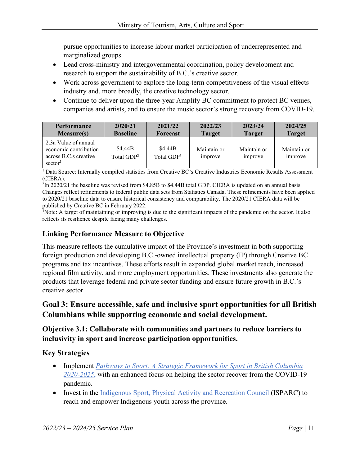pursue opportunities to increase labour market participation of underrepresented and marginalized groups.

- Lead cross-ministry and intergovernmental coordination, policy development and research to support the sustainability of B.C.'s creative sector.
- Work across government to explore the long-term competitiveness of the visual effects industry and, more broadly, the creative technology sector.
- Continue to deliver upon the three-year Amplify BC commitment to protect BC venues, companies and artists, and to ensure the music sector's strong recovery from COVID-19.

| <b>Performance</b>                                                                            | 2020/21                           | 2021/22                           | 2022/23                | 2023/24                | 2024/25                |
|-----------------------------------------------------------------------------------------------|-----------------------------------|-----------------------------------|------------------------|------------------------|------------------------|
| <b>Measure(s)</b>                                                                             | <b>Baseline</b>                   | <b>Forecast</b>                   | <b>Target</b>          | <b>Target</b>          | <b>Target</b>          |
| 2.3a Value of annual<br>economic contribution<br>across B.C.s creative<br>sector <sup>1</sup> | \$4.44B<br>Total GDP <sup>2</sup> | \$4.44B<br>Total GDP <sup>3</sup> | Maintain or<br>improve | Maintain or<br>improve | Maintain or<br>improve |

<sup>1</sup> Data Source: Internally compiled statistics from Creative BC's Creative Industries Economic Results Assessment (CIERA).

 ${}^{2}$ In 2020/21 the baseline was revised from \$4.85B to \$4.44B total GDP. CIERA is updated on an annual basis. Changes reflect refinements to federal public data sets from Statistics Canada. These refinements have been applied to 2020/21 baseline data to ensure historical consistency and comparability. The 2020/21 CIERA data will be published by Creative BC in February 2022.

3 Note: A target of maintaining or improving is due to the significant impacts of the pandemic on the sector. It also reflects its resilience despite facing many challenges.

#### **Linking Performance Measure to Objective**

This measure reflects the cumulative impact of the Province's investment in both supporting foreign production and developing B.C.-owned intellectual property (IP) through Creative BC programs and tax incentives. These efforts result in expanded global market reach, increased regional film activity, and more employment opportunities. These investments also generate the products that leverage federal and private sector funding and ensure future growth in B.C.'s creative sector.

#### **Goal 3: Ensure accessible, safe and inclusive sport opportunities for all British Columbians while supporting economic and social development.**

#### **Objective 3.1: Collaborate with communities and partners to reduce barriers to inclusivity in sport and increase participation opportunities.**

- Implement *[Pathways to Sport: A Strategic Framework for Sport in British Columbia](https://www2.gov.bc.ca/assets/gov/sports-recreation-arts-and-culture/sports/bc_sport_framework.pdf)  [2020-2025](https://www2.gov.bc.ca/assets/gov/sports-recreation-arts-and-culture/sports/bc_sport_framework.pdf)*, with an enhanced focus on helping the sector recover from the COVID-19 pandemic.
- Invest in the [Indigenous Sport, Physical Activity and Recreation Council](https://isparc.ca/) (ISPARC) to reach and empower Indigenous youth across the province.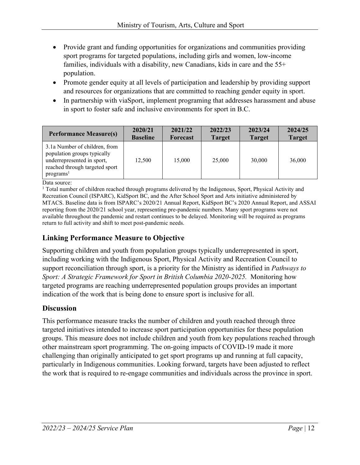- Provide grant and funding opportunities for organizations and communities providing sport programs for targeted populations, including girls and women, low-income families, individuals with a disability, new Canadians, kids in care and the 55+ population.
- Promote gender equity at all levels of participation and leadership by providing support and resources for organizations that are committed to reaching gender equity in sport.
- In partnership with viaSport, implement programing that addresses harassment and abuse in sport to foster safe and inclusive environments for sport in B.C.

| <b>Performance Measure(s)</b>                                                                                                                         | 2020/21         | 2021/22  | 2022/23       | 2023/24       | 2024/25       |
|-------------------------------------------------------------------------------------------------------------------------------------------------------|-----------------|----------|---------------|---------------|---------------|
|                                                                                                                                                       | <b>Baseline</b> | Forecast | <b>Target</b> | <b>Target</b> | <b>Target</b> |
| 3.1a Number of children, from<br>population groups typically<br>underrepresented in sport,<br>reached through targeted sport<br>programs <sup>1</sup> | 12,500          | 15,000   | 25,000        | 30,000        | 36,000        |

Data source:

<sup>1</sup> Total number of children reached through programs delivered by the Indigenous, Sport, Physical Activity and Recreation Council (ISPARC), KidSport BC, and the After School Sport and Arts initiative administered by MTACS. Baseline data is from ISPARC's 2020/21 Annual Report, KidSport BC's 2020 Annual Report, and ASSAI reporting from the 2020/21 school year, representing pre-pandemic numbers. Many sport programs were not available throughout the pandemic and restart continues to be delayed. Monitoring will be required as programs return to full activity and shift to meet post-pandemic needs.

#### **Linking Performance Measure to Objective**

Supporting children and youth from population groups typically underrepresented in sport, including working with the Indigenous Sport, Physical Activity and Recreation Council to support reconciliation through sport, is a priority for the Ministry as identified in *Pathways to Sport: A Strategic Framework for Sport in British Columbia 2020-2025.* Monitoring how targeted programs are reaching underrepresented population groups provides an important indication of the work that is being done to ensure sport is inclusive for all.

#### **Discussion**

This performance measure tracks the number of children and youth reached through three targeted initiatives intended to increase sport participation opportunities for these population groups. This measure does not include children and youth from key populations reached through other mainstream sport programming. The on-going impacts of COVID-19 made it more challenging than originally anticipated to get sport programs up and running at full capacity, particularly in Indigenous communities. Looking forward, targets have been adjusted to reflect the work that is required to re-engage communities and individuals across the province in sport.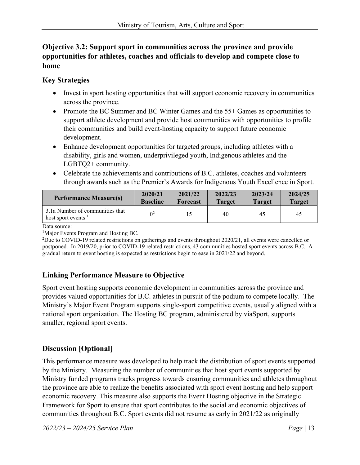#### **Objective 3.2: Support sport in communities across the province and provide opportunities for athletes, coaches and officials to develop and compete close to home**

#### **Key Strategies**

- Invest in sport hosting opportunities that will support economic recovery in communities across the province.
- Promote the BC Summer and BC Winter Games and the 55+ Games as opportunities to support athlete development and provide host communities with opportunities to profile their communities and build event-hosting capacity to support future economic development.
- Enhance development opportunities for targeted groups, including athletes with a disability, girls and women, underprivileged youth, Indigenous athletes and the LGBTQ2+ community.
- Celebrate the achievements and contributions of B.C. athletes, coaches and volunteers through awards such as the Premier's Awards for Indigenous Youth Excellence in Sport.

| <b>Performance Measure(s)</b>                                      | 2020/21         | 2021/22         | 2022/23       | 2023/24       | 2024/25       |
|--------------------------------------------------------------------|-----------------|-----------------|---------------|---------------|---------------|
|                                                                    | <b>Baseline</b> | <b>Forecast</b> | <b>Target</b> | <b>Target</b> | <b>Target</b> |
| 3.1a Number of communities that<br>host sport events $\frac{1}{1}$ |                 |                 | 40            | 45            | 45            |

Data source:

<sup>1</sup>Major Events Program and Hosting BC.

<sup>2</sup>Due to COVID-19 related restrictions on gatherings and events throughout 2020/21, all events were cancelled or postponed. In 2019/20, prior to COVID-19 related restrictions, 43 communities hosted sport events across B.C. A gradual return to event hosting is expected as restrictions begin to ease in 2021/2*2* and beyond.

#### **Linking Performance Measure to Objective**

Sport event hosting supports economic development in communities across the province and provides valued opportunities for B.C. athletes in pursuit of the podium to compete locally. The Ministry's Major Event Program supports single-sport competitive events, usually aligned with a national sport organization. The Hosting BC program, administered by viaSport, supports smaller, regional sport events.

#### **Discussion [Optional]**

This performance measure was developed to help track the distribution of sport events supported by the Ministry. Measuring the number of communities that host sport events supported by Ministry funded programs tracks progress towards ensuring communities and athletes throughout the province are able to realize the benefits associated with sport event hosting and help support economic recovery. This measure also supports the Event Hosting objective in the Strategic Framework for Sport to ensure that sport contributes to the social and economic objectives of communities throughout B.C. Sport events did not resume as early in 2021/22 as originally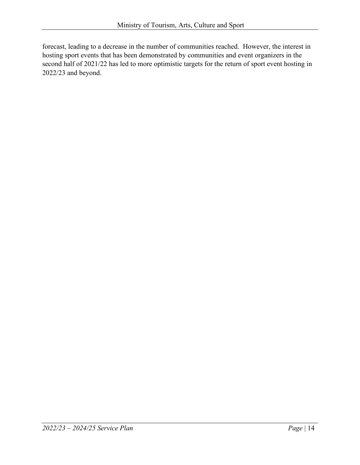forecast, leading to a decrease in the number of communities reached. However, the interest in hosting sport events that has been demonstrated by communities and event organizers in the second half of 2021/22 has led to more optimistic targets for the return of sport event hosting in 2022/23 and beyond.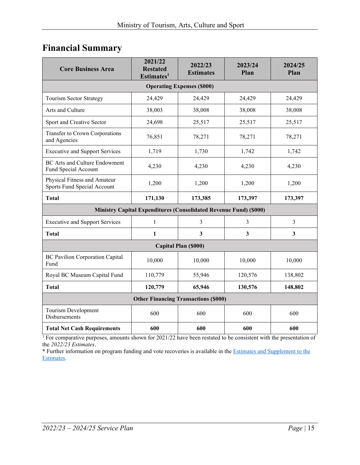## <span id="page-14-0"></span>**Financial Summary**

| <b>Core Business Area</b>                                    | 2021/22<br><b>Restated</b><br>Estimates <sup>1</sup>                     | 2022/23<br><b>Estimates</b> | 2023/24<br>Plan | 2024/25<br>Plan |  |  |  |  |
|--------------------------------------------------------------|--------------------------------------------------------------------------|-----------------------------|-----------------|-----------------|--|--|--|--|
| <b>Operating Expenses (\$000)</b>                            |                                                                          |                             |                 |                 |  |  |  |  |
| <b>Tourism Sector Strategy</b>                               | 24,429                                                                   | 24,429                      | 24,429          | 24,429          |  |  |  |  |
| Arts and Culture                                             | 38,003                                                                   | 38,008                      | 38,008          | 38,008          |  |  |  |  |
| Sport and Creative Sector                                    | 24,698                                                                   | 25,517                      | 25,517          | 25,517          |  |  |  |  |
| Transfer to Crown Corporations<br>and Agencies               | 76,851                                                                   | 78,271                      | 78,271          | 78,271          |  |  |  |  |
| <b>Executive and Support Services</b>                        | 1,719                                                                    | 1,730                       | 1,742           | 1,742           |  |  |  |  |
| <b>BC</b> Arts and Culture Endowment<br>Fund Special Account | 4,230                                                                    | 4,230                       | 4,230           | 4,230           |  |  |  |  |
| Physical Fitness and Amateur<br>Sports Fund Special Account  | 1,200                                                                    | 1,200                       | 1,200           | 1,200           |  |  |  |  |
| <b>Total</b>                                                 | 171,130                                                                  | 173,385                     | 173,397         | 173,397         |  |  |  |  |
|                                                              | <b>Ministry Capital Expenditures (Consolidated Revenue Fund) (\$000)</b> |                             |                 |                 |  |  |  |  |
| <b>Executive and Support Services</b>                        | $\mathbf{1}$                                                             | 3                           | $\overline{3}$  | $\overline{3}$  |  |  |  |  |
| <b>Total</b>                                                 | $\mathbf{1}$                                                             | 3                           | 3               | $\mathbf{3}$    |  |  |  |  |
|                                                              |                                                                          | Capital Plan (\$000)        |                 |                 |  |  |  |  |
| <b>BC Pavilion Corporation Capital</b><br>Fund               | 10,000                                                                   | 10,000                      | 10,000          | 10,000          |  |  |  |  |
| Royal BC Museum Capital Fund                                 | 110,779                                                                  | 55,946                      | 120,576         | 138,802         |  |  |  |  |
| <b>Total</b>                                                 | 120,779                                                                  | 65,946                      | 130,576         | 148,802         |  |  |  |  |
| <b>Other Financing Transactions (\$000)</b>                  |                                                                          |                             |                 |                 |  |  |  |  |
| Tourism Development<br>Disbursements                         | 600                                                                      | 600                         | 600             | 600             |  |  |  |  |
| <b>Total Net Cash Requirements</b>                           | 600                                                                      | 600                         | 600             | 600             |  |  |  |  |

<sup>1</sup> For comparative purposes, amounts shown for 2021/22 have been restated to be consistent with the presentation of the *2022/23 Estimates*.

\* Further information on program funding and vote recoveries is available in th[e Estimates and Supplement to the](http://www.bcbudget.gov.bc.ca/)  [Estimates.](http://www.bcbudget.gov.bc.ca/)